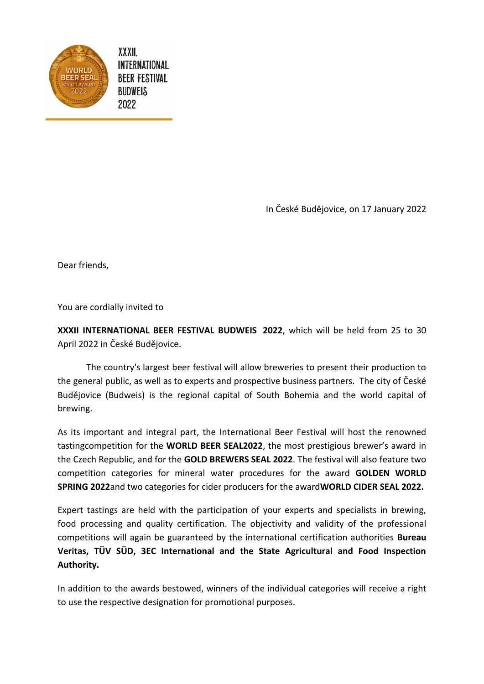

**XXXII.** INTERNATIONAL **BEER FESTIVAL BUDWEIS** 2022

In České Budějovice, on 17 January 2022

Dear friends,

You are cordially invited to

**XXXII INTERNATIONAL BEER FESTIVAL BUDWEIS 2022**, which will be held from 25 to 30 April 2022 in České Budějovice.

The country's largest beer festival will allow breweries to present their production to the general public, as well as to experts and prospective business partners. The city of České Budějovice (Budweis) is the regional capital of South Bohemia and the world capital of brewing.

As its important and integral part, the International Beer Festival will host the renowned tastingcompetition for the **WORLD BEER SEAL2022**, the most prestigious brewer's award in the Czech Republic, and for the **GOLD BREWERS SEAL 2022**. The festival will also feature two competition categories for mineral water procedures for the award **GOLDEN WORLD SPRING 2022**and two categories for cider producers for the award**WORLD CIDER SEAL 2022.**

Expert tastings are held with the participation of your experts and specialists in brewing, food processing and quality certification. The objectivity and validity of the professional competitions will again be guaranteed by the international certification authorities **Bureau Veritas, TÜV SÜD, 3EC International and the State Agricultural and Food Inspection Authority.** 

In addition to the awards bestowed, winners of the individual categories will receive a right to use the respective designation for promotional purposes.